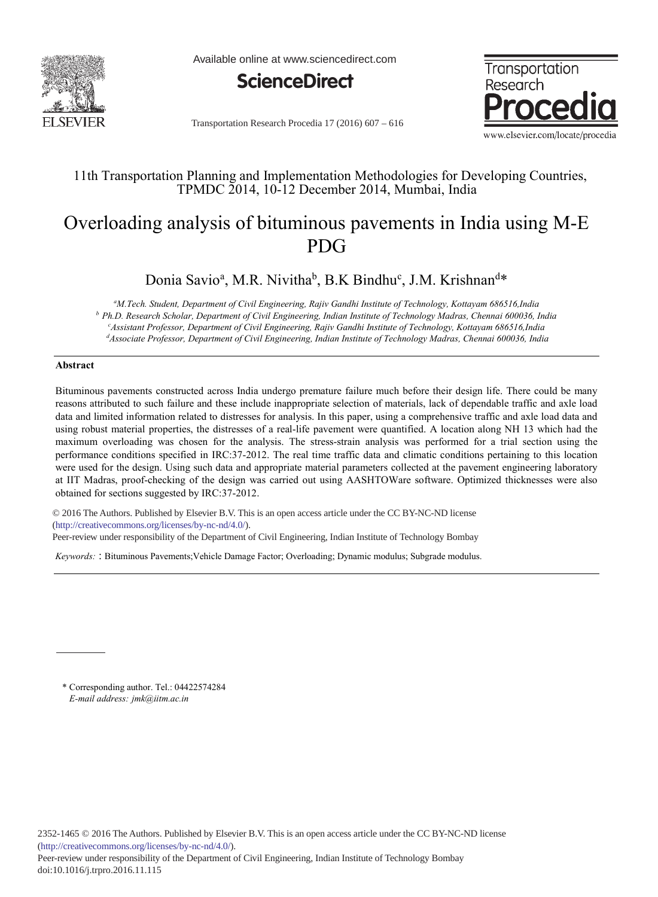

Available online at www.sciencedirect.com



Transportation Research Procedia 17 (2016) 607 - 616



### 11th Transportation Planning and Implementation Methodologies for Developing Countries, TPMDC 2014, 10-12 December 2014, Mumbai, India

# Overloading analysis of bituminous pavements in India using M-E PDG

## Donia Savio<sup>a</sup>, M.R. Nivitha<sup>b</sup>, B.K Bindhu<sup>c</sup>, J.M. Krishnan<sup>d\*</sup>

<sup>a</sup>M.Tech. Student, Department of Civil Engineering, Rajiv Gandhi Institute of Technology, Kottayam 686516,India <sup>b</sup> Ph.D. Research Scholar, Department of Civil Engineering, Indian Institute of Technology Madras, Chennai 600036, India *c Assistant Professor, Department of Civil Engineering, Rajiv Gandhi Institute of Technology, Kottayam 686516,India d Associate Professor, Department of Civil Engineering, Indian Institute of Technology Madras, Chennai 600036, India* 

#### Abstract

Bituminous pavements constructed across India undergo premature failure much before their design life. There could be many reasons attributed to such failure and these include inappropriate selection of materials, lack of dependable traffic and axle load data and limited information related to distresses for analysis. In this paper, using a comprehensive traffic and axle load data and using robust material properties, the distresses of a real-life pavement were quantified. A location along NH 13 which had the maximum overloading was chosen for the analysis. The stress-strain analysis was performed for a trial section using the performance conditions specified in IRC:37-2012. The real time traffic data and climatic conditions pertaining to this location were used for the design. Using such data and appropriate material parameters collected at the pavement engineering laboratory at IIT Madras, proof-checking of the design was carried out using AASHTOWare software. Optimized thicknesses were also obtained for sections suggested by IRC:37-2012.

© 2015 The Authors.Published by Elsevier B.V. © 2016 The Authors. Published by Elsevier B.V. This is an open access article under the CC BY-NC-ND license Peer-review under responsibility of the Department of Civil Engineering, Indian Institute of Technology Bombay (http://creativecommons.org/licenses/by-nc-nd/4.0/).

*Keywords:* : Bituminous Pavements;Vehicle Damage Factor; Overloading; Dynamic modulus; Subgrade modulus.

\* Corresponding author. Tel.: 04422574284 *E-mail address: jmk@iitm.ac.in*

2352-1465 © 2016 The Authors. Published by Elsevier B.V. This is an open access article under the CC BY-NC-ND license (http://creativecommons.org/licenses/by-nc-nd/4.0/).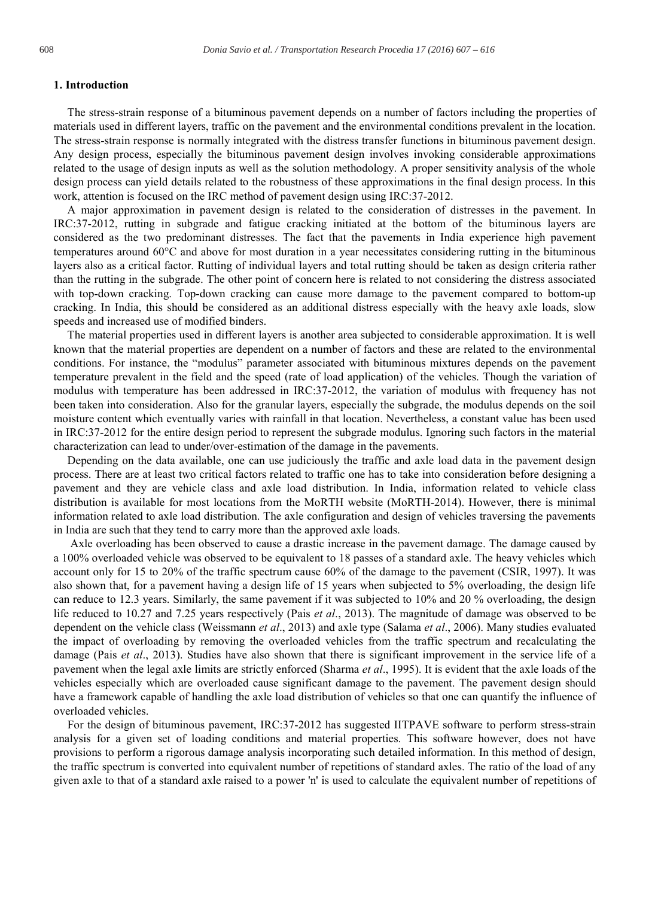#### 1. Introduction

The stress-strain response of a bituminous pavement depends on a number of factors including the properties of materials used in different layers, traffic on the pavement and the environmental conditions prevalent in the location. The stress-strain response is normally integrated with the distress transfer functions in bituminous pavement design. Any design process, especially the bituminous pavement design involves invoking considerable approximations related to the usage of design inputs as well as the solution methodology. A proper sensitivity analysis of the whole design process can yield details related to the robustness of these approximations in the final design process. In this work, attention is focused on the IRC method of pavement design using IRC:37-2012.

A major approximation in pavement design is related to the consideration of distresses in the pavement. In IRC:37-2012, rutting in subgrade and fatigue cracking initiated at the bottom of the bituminous layers are considered as the two predominant distresses. The fact that the pavements in India experience high pavement temperatures around 60°C and above for most duration in a year necessitates considering rutting in the bituminous layers also as a critical factor. Rutting of individual layers and total rutting should be taken as design criteria rather than the rutting in the subgrade. The other point of concern here is related to not considering the distress associated with top-down cracking. Top-down cracking can cause more damage to the pavement compared to bottom-up cracking. In India, this should be considered as an additional distress especially with the heavy axle loads, slow speeds and increased use of modified binders.

The material properties used in different layers is another area subjected to considerable approximation. It is well known that the material properties are dependent on a number of factors and these are related to the environmental conditions. For instance, the "modulus" parameter associated with bituminous mixtures depends on the pavement temperature prevalent in the field and the speed (rate of load application) of the vehicles. Though the variation of modulus with temperature has been addressed in IRC:37-2012, the variation of modulus with frequency has not been taken into consideration. Also for the granular layers, especially the subgrade, the modulus depends on the soil moisture content which eventually varies with rainfall in that location. Nevertheless, a constant value has been used in IRC:37-2012 for the entire design period to represent the subgrade modulus. Ignoring such factors in the material characterization can lead to under/over-estimation of the damage in the pavements.

Depending on the data available, one can use judiciously the traffic and axle load data in the pavement design process. There are at least two critical factors related to traffic one has to take into consideration before designing a pavement and they are vehicle class and axle load distribution. In India, information related to vehicle class distribution is available for most locations from the MoRTH website (MoRTH-2014). However, there is minimal information related to axle load distribution. The axle configuration and design of vehicles traversing the pavements in India are such that they tend to carry more than the approved axle loads.

 Axle overloading has been observed to cause a drastic increase in the pavement damage. The damage caused by a 100% overloaded vehicle was observed to be equivalent to 18 passes of a standard axle. The heavy vehicles which account only for 15 to 20% of the traffic spectrum cause 60% of the damage to the pavement (CSIR, 1997). It was also shown that, for a pavement having a design life of 15 years when subjected to 5% overloading, the design life can reduce to 12.3 years. Similarly, the same pavement if it was subjected to 10% and 20 % overloading, the design life reduced to 10.27 and 7.25 years respectively (Pais *et al*., 2013). The magnitude of damage was observed to be dependent on the vehicle class (Weissmann *et al*., 2013) and axle type (Salama *et al*., 2006). Many studies evaluated the impact of overloading by removing the overloaded vehicles from the traffic spectrum and recalculating the damage (Pais *et al*., 2013). Studies have also shown that there is significant improvement in the service life of a pavement when the legal axle limits are strictly enforced (Sharma *et al*., 1995). It is evident that the axle loads of the vehicles especially which are overloaded cause significant damage to the pavement. The pavement design should have a framework capable of handling the axle load distribution of vehicles so that one can quantify the influence of overloaded vehicles.

For the design of bituminous pavement, IRC:37-2012 has suggested IITPAVE software to perform stress-strain analysis for a given set of loading conditions and material properties. This software however, does not have provisions to perform a rigorous damage analysis incorporating such detailed information. In this method of design, the traffic spectrum is converted into equivalent number of repetitions of standard axles. The ratio of the load of any given axle to that of a standard axle raised to a power 'n' is used to calculate the equivalent number of repetitions of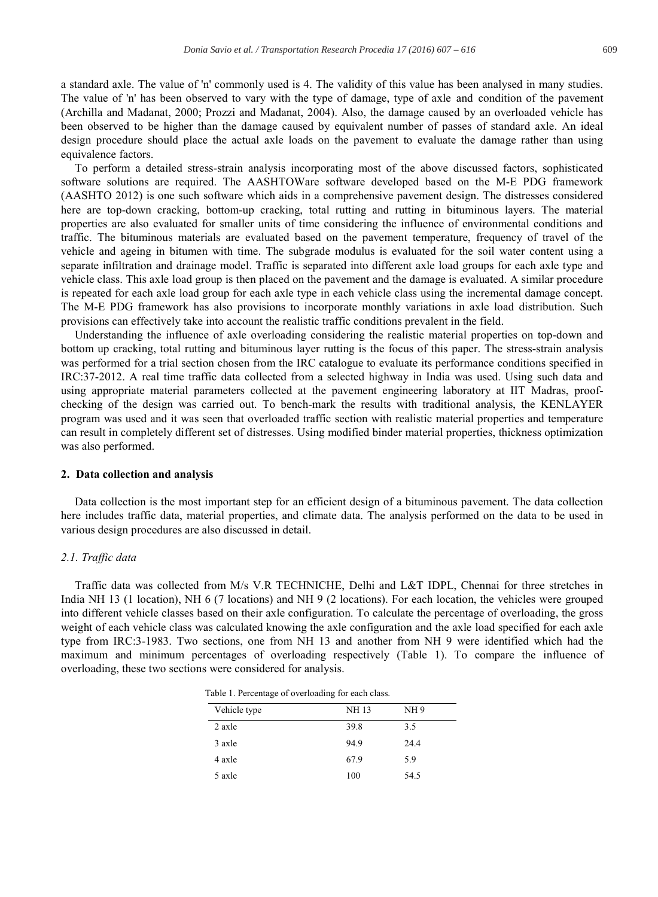a standard axle. The value of 'n' commonly used is 4. The validity of this value has been analysed in many studies. The value of 'n' has been observed to vary with the type of damage, type of axle and condition of the pavement (Archilla and Madanat, 2000; Prozzi and Madanat, 2004). Also, the damage caused by an overloaded vehicle has been observed to be higher than the damage caused by equivalent number of passes of standard axle. An ideal design procedure should place the actual axle loads on the pavement to evaluate the damage rather than using equivalence factors.

To perform a detailed stress-strain analysis incorporating most of the above discussed factors, sophisticated software solutions are required. The AASHTOWare software developed based on the M-E PDG framework (AASHTO 2012) is one such software which aids in a comprehensive pavement design. The distresses considered here are top-down cracking, bottom-up cracking, total rutting and rutting in bituminous layers. The material properties are also evaluated for smaller units of time considering the influence of environmental conditions and traffic. The bituminous materials are evaluated based on the pavement temperature, frequency of travel of the vehicle and ageing in bitumen with time. The subgrade modulus is evaluated for the soil water content using a separate infiltration and drainage model. Traffic is separated into different axle load groups for each axle type and vehicle class. This axle load group is then placed on the pavement and the damage is evaluated. A similar procedure is repeated for each axle load group for each axle type in each vehicle class using the incremental damage concept. The M-E PDG framework has also provisions to incorporate monthly variations in axle load distribution. Such provisions can effectively take into account the realistic traffic conditions prevalent in the field.

Understanding the influence of axle overloading considering the realistic material properties on top-down and bottom up cracking, total rutting and bituminous layer rutting is the focus of this paper. The stress-strain analysis was performed for a trial section chosen from the IRC catalogue to evaluate its performance conditions specified in IRC:37-2012. A real time traffic data collected from a selected highway in India was used. Using such data and using appropriate material parameters collected at the pavement engineering laboratory at IIT Madras, proofchecking of the design was carried out. To bench-mark the results with traditional analysis, the KENLAYER program was used and it was seen that overloaded traffic section with realistic material properties and temperature can result in completely different set of distresses. Using modified binder material properties, thickness optimization was also performed.

#### 2. Data collection and analysis

Data collection is the most important step for an efficient design of a bituminous pavement. The data collection here includes traffic data, material properties, and climate data. The analysis performed on the data to be used in various design procedures are also discussed in detail.

#### *2.1. Traffic data*

Traffic data was collected from M/s V.R TECHNICHE, Delhi and L&T IDPL, Chennai for three stretches in India NH 13 (1 location), NH 6 (7 locations) and NH 9 (2 locations). For each location, the vehicles were grouped into different vehicle classes based on their axle configuration. To calculate the percentage of overloading, the gross weight of each vehicle class was calculated knowing the axle configuration and the axle load specified for each axle type from IRC:3-1983. Two sections, one from NH 13 and another from NH 9 were identified which had the maximum and minimum percentages of overloading respectively (Table 1). To compare the influence of overloading, these two sections were considered for analysis.

| Vehicle type | <b>NH13</b> | NH <sub>9</sub> |
|--------------|-------------|-----------------|
| 2 axle       | 39.8        | 3.5             |
| 3 axle       | 94.9        | 24.4            |
| 4 axle       | 67.9        | 5.9             |
| 5 axle       | 100         | 54.5            |

Table 1. Percentage of overloading for each class.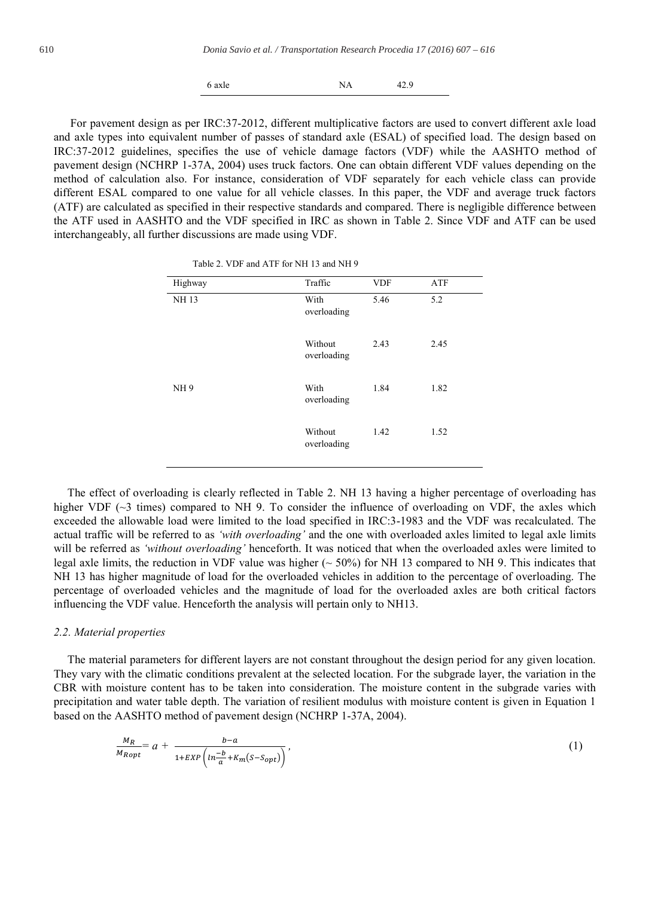| 6 axle | <b>NA</b> | 12Q<br>42.S<br>__ |
|--------|-----------|-------------------|
|        |           |                   |

 For pavement design as per IRC:37-2012, different multiplicative factors are used to convert different axle load and axle types into equivalent number of passes of standard axle (ESAL) of specified load. The design based on IRC:37-2012 guidelines, specifies the use of vehicle damage factors (VDF) while the AASHTO method of pavement design (NCHRP 1-37A, 2004) uses truck factors. One can obtain different VDF values depending on the method of calculation also. For instance, consideration of VDF separately for each vehicle class can provide different ESAL compared to one value for all vehicle classes. In this paper, the VDF and average truck factors (ATF) are calculated as specified in their respective standards and compared. There is negligible difference between the ATF used in AASHTO and the VDF specified in IRC as shown in Table 2. Since VDF and ATF can be used interchangeably, all further discussions are made using VDF.

|                        |         | ATF        |
|------------------------|---------|------------|
| With<br>overloading    | 5.46    | 5.2        |
| Without<br>overloading | 2.43    | 2.45       |
| With<br>overloading    | 1.84    | 1.82       |
| Without<br>overloading | 1.42    | 1.52       |
|                        | Traffic | <b>VDF</b> |

The effect of overloading is clearly reflected in Table 2. NH 13 having a higher percentage of overloading has higher VDF ( $\sim$ 3 times) compared to NH 9. To consider the influence of overloading on VDF, the axles which exceeded the allowable load were limited to the load specified in IRC:3-1983 and the VDF was recalculated. The actual traffic will be referred to as *'with overloading'* and the one with overloaded axles limited to legal axle limits will be referred as *'without overloading'* henceforth. It was noticed that when the overloaded axles were limited to legal axle limits, the reduction in VDF value was higher ( $\sim$  50%) for NH 13 compared to NH 9. This indicates that NH 13 has higher magnitude of load for the overloaded vehicles in addition to the percentage of overloading. The percentage of overloaded vehicles and the magnitude of load for the overloaded axles are both critical factors influencing the VDF value. Henceforth the analysis will pertain only to NH13.

#### *2.2. Material properties*

The material parameters for different layers are not constant throughout the design period for any given location. They vary with the climatic conditions prevalent at the selected location. For the subgrade layer, the variation in the CBR with moisture content has to be taken into consideration. The moisture content in the subgrade varies with precipitation and water table depth. The variation of resilient modulus with moisture content is given in Equation 1 based on the AASHTO method of pavement design (NCHRP 1-37A, 2004).

$$
\frac{M_R}{M_{Ropt}} = a + \frac{b-a}{1 + EXP\left(ln\frac{-b}{a} + K_m(S-S_{opt})\right)},
$$
\n(1)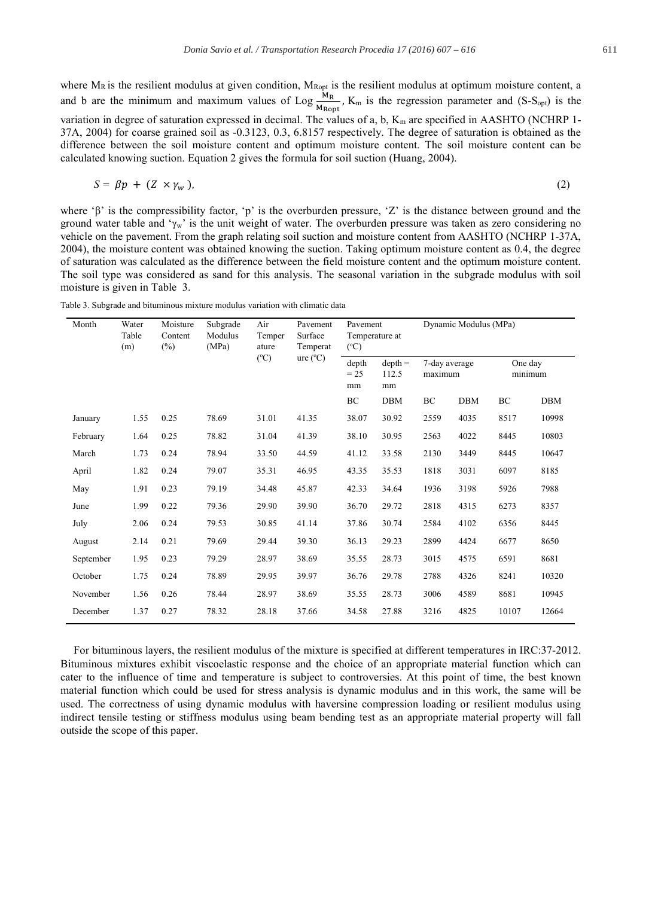where  $M_R$  is the resilient modulus at given condition,  $M_{Ropt}$  is the resilient modulus at optimum moisture content, a and b are the minimum and maximum values of  $\text{Log} \frac{M_R}{M_{\text{Ropt}}}$ , K<sub>m</sub> is the regression parameter and (S-S<sub>opt</sub>) is the variation in degree of saturation expressed in decimal. The values of a, b,  $K_m$  are specified in AASHTO (NCHRP 1-37A, 2004) for coarse grained soil as -0.3123, 0.3, 6.8157 respectively. The degree of saturation is obtained as the difference between the soil moisture content and optimum moisture content. The soil moisture content can be calculated knowing suction. Equation 2 gives the formula for soil suction (Huang, 2004).

$$
S = \beta p + (Z \times \gamma_w), \tag{2}
$$

where ' $\beta$ ' is the compressibility factor, 'p' is the overburden pressure, 'Z' is the distance between ground and the ground water table and ' $\gamma_w$ ' is the unit weight of water. The overburden pressure was taken as zero considering no vehicle on the pavement. From the graph relating soil suction and moisture content from AASHTO (NCHRP 1-37A, 2004), the moisture content was obtained knowing the suction. Taking optimum moisture content as 0.4, the degree of saturation was calculated as the difference between the field moisture content and the optimum moisture content. The soil type was considered as sand for this analysis. The seasonal variation in the subgrade modulus with soil moisture is given in Table 3.

Table 3. Subgrade and bituminous mixture modulus variation with climatic data

| Month     | Water<br>Table<br>(m) | Moisture<br>Content<br>(%) | Air<br>Subgrade<br>Pavement<br>Pavement<br>Modulus<br>Surface<br>Temper<br>Temperature at<br>(MPa)<br>$(^{\circ}C)$<br>ature<br>Temperat |               |          | Dynamic Modulus (MPa) |                                                      |      |            |                    |            |
|-----------|-----------------------|----------------------------|------------------------------------------------------------------------------------------------------------------------------------------|---------------|----------|-----------------------|------------------------------------------------------|------|------------|--------------------|------------|
|           |                       |                            |                                                                                                                                          | $(^{\circ}C)$ | ure (°C) | depth<br>$= 25$<br>mm | $depth =$<br>7-day average<br>112.5<br>maximum<br>mm |      |            | One day<br>minimum |            |
|           |                       |                            |                                                                                                                                          |               |          | BC                    | <b>DBM</b>                                           | BC   | <b>DBM</b> | BC                 | <b>DBM</b> |
| January   | 1.55                  | 0.25                       | 78.69                                                                                                                                    | 31.01         | 41.35    | 38.07                 | 30.92                                                | 2559 | 4035       | 8517               | 10998      |
| February  | 1.64                  | 0.25                       | 78.82                                                                                                                                    | 31.04         | 41.39    | 38.10                 | 30.95                                                | 2563 | 4022       | 8445               | 10803      |
| March     | 1.73                  | 0.24                       | 78.94                                                                                                                                    | 33.50         | 44.59    | 41.12                 | 33.58                                                | 2130 | 3449       | 8445               | 10647      |
| April     | 1.82                  | 0.24                       | 79.07                                                                                                                                    | 35.31         | 46.95    | 43.35                 | 35.53                                                | 1818 | 3031       | 6097               | 8185       |
| May       | 1.91                  | 0.23                       | 79.19                                                                                                                                    | 34.48         | 45.87    | 42.33                 | 34.64                                                | 1936 | 3198       | 5926               | 7988       |
| June      | 1.99                  | 0.22                       | 79.36                                                                                                                                    | 29.90         | 39.90    | 36.70                 | 29.72                                                | 2818 | 4315       | 6273               | 8357       |
| July      | 2.06                  | 0.24                       | 79.53                                                                                                                                    | 30.85         | 41.14    | 37.86                 | 30.74                                                | 2584 | 4102       | 6356               | 8445       |
| August    | 2.14                  | 0.21                       | 79.69                                                                                                                                    | 29.44         | 39.30    | 36.13                 | 29.23                                                | 2899 | 4424       | 6677               | 8650       |
| September | 1.95                  | 0.23                       | 79.29                                                                                                                                    | 28.97         | 38.69    | 35.55                 | 28.73                                                | 3015 | 4575       | 6591               | 8681       |
| October   | 1.75                  | 0.24                       | 78.89                                                                                                                                    | 29.95         | 39.97    | 36.76                 | 29.78                                                | 2788 | 4326       | 8241               | 10320      |
| November  | 1.56                  | 0.26                       | 78.44                                                                                                                                    | 28.97         | 38.69    | 35.55                 | 28.73                                                | 3006 | 4589       | 8681               | 10945      |
| December  | 1.37                  | 0.27                       | 78.32                                                                                                                                    | 28.18         | 37.66    | 34.58                 | 27.88                                                | 3216 | 4825       | 10107              | 12664      |

For bituminous layers, the resilient modulus of the mixture is specified at different temperatures in IRC:37-2012. Bituminous mixtures exhibit viscoelastic response and the choice of an appropriate material function which can cater to the influence of time and temperature is subject to controversies. At this point of time, the best known material function which could be used for stress analysis is dynamic modulus and in this work, the same will be used. The correctness of using dynamic modulus with haversine compression loading or resilient modulus using indirect tensile testing or stiffness modulus using beam bending test as an appropriate material property will fall outside the scope of this paper.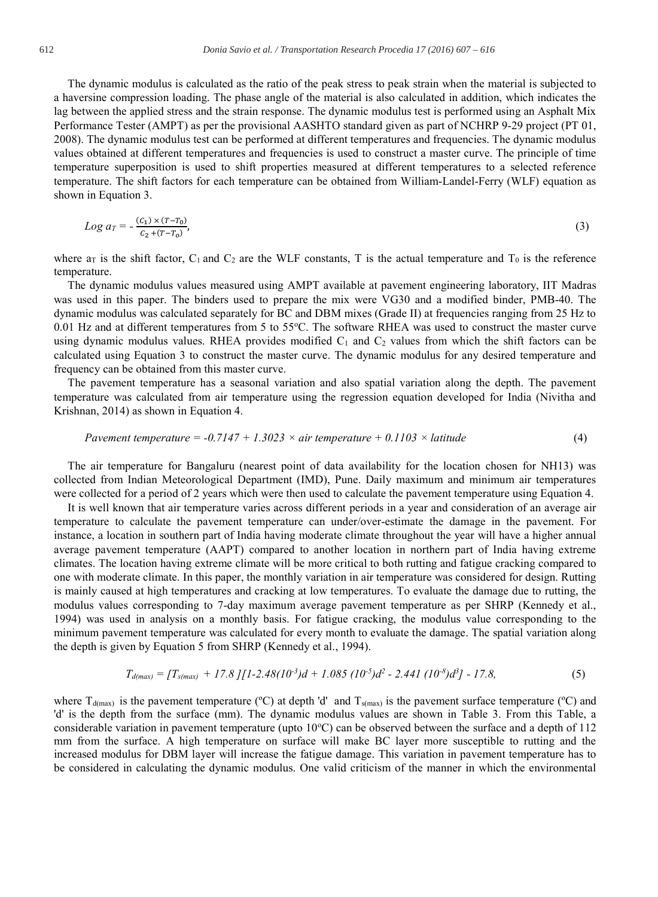The dynamic modulus is calculated as the ratio of the peak stress to peak strain when the material is subjected to a haversine compression loading. The phase angle of the material is also calculated in addition, which indicates the lag between the applied stress and the strain response. The dynamic modulus test is performed using an Asphalt Mix Performance Tester (AMPT) as per the provisional AASHTO standard given as part of NCHRP 9-29 project (PT 01, 2008). The dynamic modulus test can be performed at different temperatures and frequencies. The dynamic modulus values obtained at different temperatures and frequencies is used to construct a master curve. The principle of time temperature superposition is used to shift properties measured at different temperatures to a selected reference temperature. The shift factors for each temperature can be obtained from William-Landel-Ferry (WLF) equation as shown in Equation 3.

$$
Log ar = -\frac{(c_1) \times (T - T_0)}{c_2 + (T - T_0)},
$$
\n(3)

where  $a_T$  is the shift factor,  $C_1$  and  $C_2$  are the WLF constants, T is the actual temperature and  $T_0$  is the reference temperature.

The dynamic modulus values measured using AMPT available at pavement engineering laboratory, IIT Madras was used in this paper. The binders used to prepare the mix were VG30 and a modified binder, PMB-40. The dynamic modulus was calculated separately for BC and DBM mixes (Grade II) at frequencies ranging from 25 Hz to 0.01 Hz and at different temperatures from 5 to 55°C. The software RHEA was used to construct the master curve using dynamic modulus values. RHEA provides modified  $C_1$  and  $C_2$  values from which the shift factors can be calculated using Equation 3 to construct the master curve. The dynamic modulus for any desired temperature and frequency can be obtained from this master curve.

The pavement temperature has a seasonal variation and also spatial variation along the depth. The pavement temperature was calculated from air temperature using the regression equation developed for India (Nivitha and Krishnan, 2014) as shown in Equation 4.

$$
Pavement temperature = -0.7147 + 1.3023 \times air temperature + 0.1103 \times latitude \tag{4}
$$

The air temperature for Bangaluru (nearest point of data availability for the location chosen for NH13) was collected from Indian Meteorological Department (IMD), Pune. Daily maximum and minimum air temperatures were collected for a period of 2 years which were then used to calculate the pavement temperature using Equation 4.

It is well known that air temperature varies across different periods in a year and consideration of an average air temperature to calculate the pavement temperature can under/over-estimate the damage in the pavement. For instance, a location in southern part of India having moderate climate throughout the year will have a higher annual average pavement temperature (AAPT) compared to another location in northern part of India having extreme climates. The location having extreme climate will be more critical to both rutting and fatigue cracking compared to one with moderate climate. In this paper, the monthly variation in air temperature was considered for design. Rutting is mainly caused at high temperatures and cracking at low temperatures. To evaluate the damage due to rutting, the modulus values corresponding to 7-day maximum average pavement temperature as per SHRP (Kennedy et al., 1994) was used in analysis on a monthly basis. For fatigue cracking, the modulus value corresponding to the minimum pavement temperature was calculated for every month to evaluate the damage. The spatial variation along the depth is given by Equation 5 from SHRP (Kennedy et al., 1994).

$$
T_{d(max)} = [T_{s(max)} + 17.8 \, J[1-2.48(10^{-3})d + 1.085 \, (10^{-5})d^2 - 2.441 \, (10^{-8})d^3] - 17.8,\tag{5}
$$

where  $T_{d(max)}$  is the pavement temperature (°C) at depth 'd' and  $T_{s(max)}$  is the pavement surface temperature (°C) and 'd' is the depth from the surface (mm). The dynamic modulus values are shown in Table 3. From this Table, a considerable variation in pavement temperature (upto  $10^{\circ}$ C) can be observed between the surface and a depth of  $112$ mm from the surface. A high temperature on surface will make BC layer more susceptible to rutting and the increased modulus for DBM layer will increase the fatigue damage. This variation in pavement temperature has to be considered in calculating the dynamic modulus. One valid criticism of the manner in which the environmental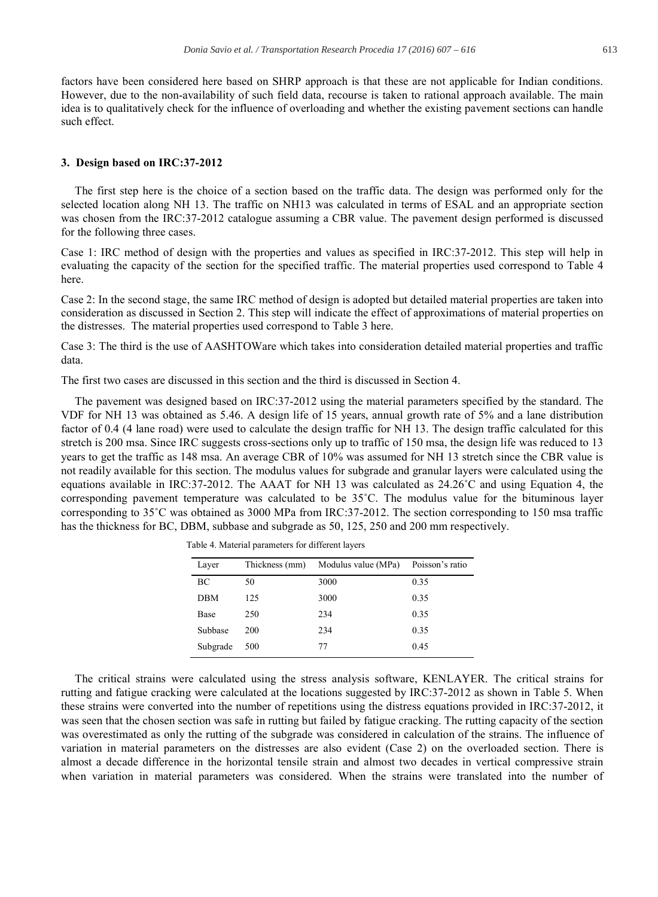factors have been considered here based on SHRP approach is that these are not applicable for Indian conditions. However, due to the non-availability of such field data, recourse is taken to rational approach available. The main idea is to qualitatively check for the influence of overloading and whether the existing pavement sections can handle such effect.

#### 3. Design based on IRC:37-2012

The first step here is the choice of a section based on the traffic data. The design was performed only for the selected location along NH 13. The traffic on NH13 was calculated in terms of ESAL and an appropriate section was chosen from the IRC:37-2012 catalogue assuming a CBR value. The pavement design performed is discussed for the following three cases.

Case 1: IRC method of design with the properties and values as specified in IRC:37-2012. This step will help in evaluating the capacity of the section for the specified traffic. The material properties used correspond to Table 4 here.

Case 2: In the second stage, the same IRC method of design is adopted but detailed material properties are taken into consideration as discussed in Section 2. This step will indicate the effect of approximations of material properties on the distresses. The material properties used correspond to Table 3 here.

Case 3: The third is the use of AASHTOWare which takes into consideration detailed material properties and traffic data.

The first two cases are discussed in this section and the third is discussed in Section 4.

The pavement was designed based on IRC:37-2012 using the material parameters specified by the standard. The VDF for NH 13 was obtained as 5.46. A design life of 15 years, annual growth rate of 5% and a lane distribution factor of 0.4 (4 lane road) were used to calculate the design traffic for NH 13. The design traffic calculated for this stretch is 200 msa. Since IRC suggests cross-sections only up to traffic of 150 msa, the design life was reduced to 13 years to get the traffic as 148 msa. An average CBR of 10% was assumed for NH 13 stretch since the CBR value is not readily available for this section. The modulus values for subgrade and granular layers were calculated using the equations available in IRC:37-2012. The AAAT for NH 13 was calculated as 24.26˚C and using Equation 4, the corresponding pavement temperature was calculated to be 35˚C. The modulus value for the bituminous layer corresponding to 35˚C was obtained as 3000 MPa from IRC:37-2012. The section corresponding to 150 msa traffic has the thickness for BC, DBM, subbase and subgrade as 50, 125, 250 and 200 mm respectively.

| Layer    | Thickness (mm) | Modulus value (MPa) | Poisson's ratio |
|----------|----------------|---------------------|-----------------|
| BC.      | 50             | 3000                | 0.35            |
| DBM      | 125            | 3000                | 0.35            |
| Base     | 250            | 234                 | 0.35            |
| Subbase  | 200            | 234                 | 0.35            |
| Subgrade | 500            | 77                  | 0.45            |

Table 4. Material parameters for different layers

The critical strains were calculated using the stress analysis software, KENLAYER. The critical strains for rutting and fatigue cracking were calculated at the locations suggested by IRC:37-2012 as shown in Table 5. When these strains were converted into the number of repetitions using the distress equations provided in IRC:37-2012, it was seen that the chosen section was safe in rutting but failed by fatigue cracking. The rutting capacity of the section was overestimated as only the rutting of the subgrade was considered in calculation of the strains. The influence of variation in material parameters on the distresses are also evident (Case 2) on the overloaded section. There is almost a decade difference in the horizontal tensile strain and almost two decades in vertical compressive strain when variation in material parameters was considered. When the strains were translated into the number of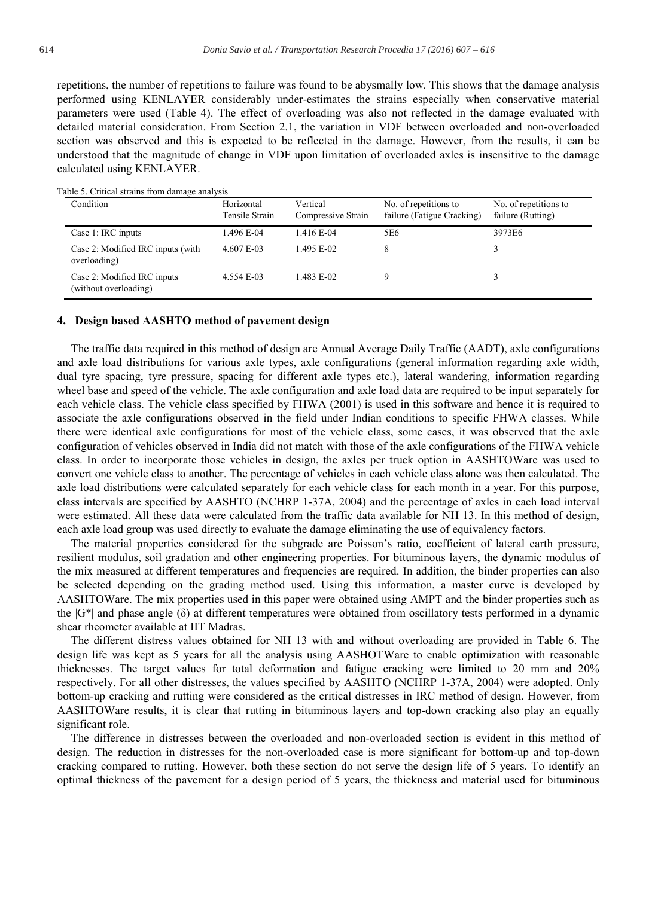repetitions, the number of repetitions to failure was found to be abysmally low. This shows that the damage analysis performed using KENLAYER considerably under-estimates the strains especially when conservative material parameters were used (Table 4). The effect of overloading was also not reflected in the damage evaluated with detailed material consideration. From Section 2.1, the variation in VDF between overloaded and non-overloaded section was observed and this is expected to be reflected in the damage. However, from the results, it can be understood that the magnitude of change in VDF upon limitation of overloaded axles is insensitive to the damage calculated using KENLAYER.

| Condition                                            | Horizontal<br>Tensile Strain | Vertical<br>Compressive Strain | No. of repetitions to<br>failure (Fatigue Cracking) | No. of repetitions to<br>failure (Rutting) |
|------------------------------------------------------|------------------------------|--------------------------------|-----------------------------------------------------|--------------------------------------------|
| Case 1: IRC inputs                                   | 1.496 E-04                   | 1.416 E-04                     | 5E6                                                 | 3973E6                                     |
| Case 2: Modified IRC inputs (with<br>overloading)    | $4.607 E-03$                 | 1.495 E-02                     |                                                     |                                            |
| Case 2: Modified IRC inputs<br>(without overloading) | 4.554 E-03                   | 1.483 E-02                     |                                                     |                                            |

Table 5. Critical strains from damage analysis

#### 4. Design based AASHTO method of pavement design

The traffic data required in this method of design are Annual Average Daily Traffic (AADT), axle configurations and axle load distributions for various axle types, axle configurations (general information regarding axle width, dual tyre spacing, tyre pressure, spacing for different axle types etc.), lateral wandering, information regarding wheel base and speed of the vehicle. The axle configuration and axle load data are required to be input separately for each vehicle class. The vehicle class specified by FHWA (2001) is used in this software and hence it is required to associate the axle configurations observed in the field under Indian conditions to specific FHWA classes. While there were identical axle configurations for most of the vehicle class, some cases, it was observed that the axle configuration of vehicles observed in India did not match with those of the axle configurations of the FHWA vehicle class. In order to incorporate those vehicles in design, the axles per truck option in AASHTOWare was used to convert one vehicle class to another. The percentage of vehicles in each vehicle class alone was then calculated. The axle load distributions were calculated separately for each vehicle class for each month in a year. For this purpose, class intervals are specified by AASHTO (NCHRP 1-37A, 2004) and the percentage of axles in each load interval were estimated. All these data were calculated from the traffic data available for NH 13. In this method of design, each axle load group was used directly to evaluate the damage eliminating the use of equivalency factors.

The material properties considered for the subgrade are Poisson's ratio, coefficient of lateral earth pressure, resilient modulus, soil gradation and other engineering properties. For bituminous layers, the dynamic modulus of the mix measured at different temperatures and frequencies are required. In addition, the binder properties can also be selected depending on the grading method used. Using this information, a master curve is developed by AASHTOWare. The mix properties used in this paper were obtained using AMPT and the binder properties such as the  $|G^*|$  and phase angle (δ) at different temperatures were obtained from oscillatory tests performed in a dynamic shear rheometer available at IIT Madras.

The different distress values obtained for NH 13 with and without overloading are provided in Table 6. The design life was kept as 5 years for all the analysis using AASHOTWare to enable optimization with reasonable thicknesses. The target values for total deformation and fatigue cracking were limited to 20 mm and 20% respectively. For all other distresses, the values specified by AASHTO (NCHRP 1-37A, 2004) were adopted. Only bottom-up cracking and rutting were considered as the critical distresses in IRC method of design. However, from AASHTOWare results, it is clear that rutting in bituminous layers and top-down cracking also play an equally significant role.

The difference in distresses between the overloaded and non-overloaded section is evident in this method of design. The reduction in distresses for the non-overloaded case is more significant for bottom-up and top-down cracking compared to rutting. However, both these section do not serve the design life of 5 years. To identify an optimal thickness of the pavement for a design period of 5 years, the thickness and material used for bituminous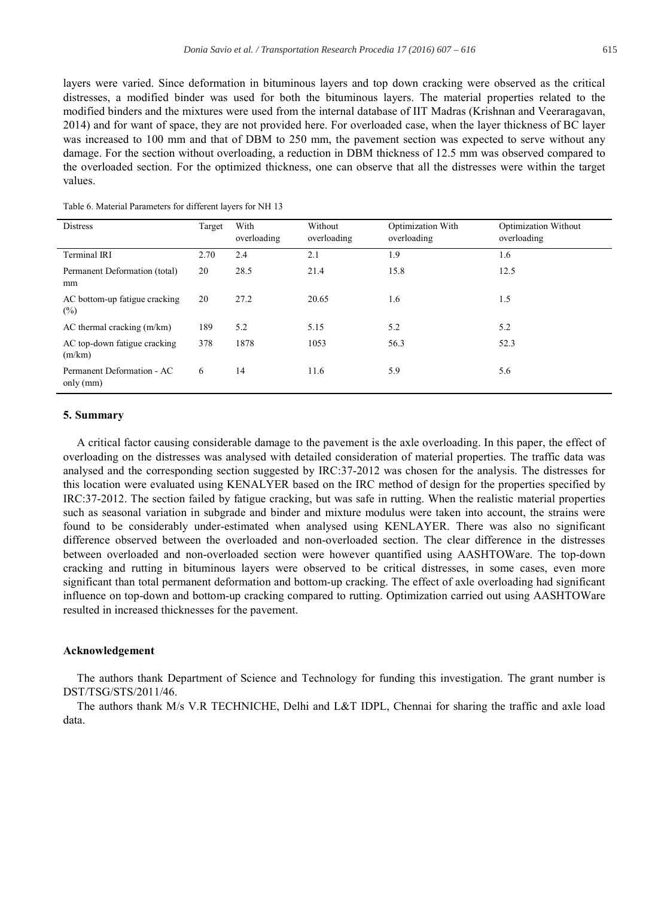layers were varied. Since deformation in bituminous layers and top down cracking were observed as the critical distresses, a modified binder was used for both the bituminous layers. The material properties related to the modified binders and the mixtures were used from the internal database of IIT Madras (Krishnan and Veeraragavan, 2014) and for want of space, they are not provided here. For overloaded case, when the layer thickness of BC layer was increased to 100 mm and that of DBM to 250 mm, the pavement section was expected to serve without any damage. For the section without overloading, a reduction in DBM thickness of 12.5 mm was observed compared to the overloaded section. For the optimized thickness, one can observe that all the distresses were within the target values.

| <b>Distress</b>                           | Target | With<br>overloading | Without<br>overloading | Optimization With<br>overloading | <b>Optimization Without</b><br>overloading |
|-------------------------------------------|--------|---------------------|------------------------|----------------------------------|--------------------------------------------|
| Terminal IRI                              | 2.70   | 2.4                 | 2.1                    | 1.9                              | 1.6                                        |
| Permanent Deformation (total)<br>mm       | 20     | 28.5                | 21.4                   | 15.8                             | 12.5                                       |
| AC bottom-up fatigue cracking<br>$(\%)$   | 20     | 27.2                | 20.65                  | 1.6                              | 1.5                                        |
| AC thermal cracking $(m/km)$              | 189    | 5.2                 | 5.15                   | 5.2                              | 5.2                                        |
| AC top-down fatigue cracking<br>(m/km)    | 378    | 1878                | 1053                   | 56.3                             | 52.3                                       |
| Permanent Deformation - AC<br>only $(mm)$ | 6      | 14                  | 11.6                   | 5.9                              | 5.6                                        |

Table 6. Material Parameters for different layers for NH 13

#### 5. Summary

A critical factor causing considerable damage to the pavement is the axle overloading. In this paper, the effect of overloading on the distresses was analysed with detailed consideration of material properties. The traffic data was analysed and the corresponding section suggested by IRC:37-2012 was chosen for the analysis. The distresses for this location were evaluated using KENALYER based on the IRC method of design for the properties specified by IRC:37-2012. The section failed by fatigue cracking, but was safe in rutting. When the realistic material properties such as seasonal variation in subgrade and binder and mixture modulus were taken into account, the strains were found to be considerably under-estimated when analysed using KENLAYER. There was also no significant difference observed between the overloaded and non-overloaded section. The clear difference in the distresses between overloaded and non-overloaded section were however quantified using AASHTOWare. The top-down cracking and rutting in bituminous layers were observed to be critical distresses, in some cases, even more significant than total permanent deformation and bottom-up cracking. The effect of axle overloading had significant influence on top-down and bottom-up cracking compared to rutting. Optimization carried out using AASHTOWare resulted in increased thicknesses for the pavement.

#### Acknowledgement

The authors thank Department of Science and Technology for funding this investigation. The grant number is DST/TSG/STS/2011/46.

The authors thank M/s V.R TECHNICHE, Delhi and L&T IDPL, Chennai for sharing the traffic and axle load data.